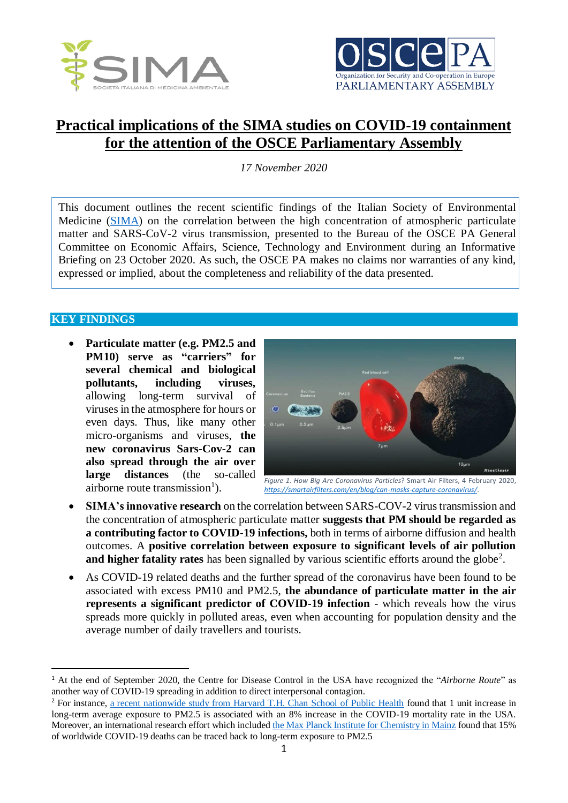



## **Practical implications of the SIMA studies on COVID-19 containment for the attention of the OSCE Parliamentary Assembly**

*17 November 2020*

This document outlines the recent scientific findings of the Italian Society of Environmental Medicine [\(SIMA\)](https://www.simaonlus.it/) on the correlation between the high concentration of atmospheric particulate matter and SARS-CoV-2 virus transmission, presented to the Bureau of the OSCE PA General Committee on Economic Affairs, Science, Technology and Environment during an Informative Briefing on 23 October 2020. As such, the OSCE PA makes no claims nor warranties of any kind, expressed or implied, about the completeness and reliability of the data presented.

## **KEY FINDINGS**

 $\overline{a}$ 

 **Particulate matter (e.g. PM2.5 and PM10) serve as "carriers" for several chemical and biological pollutants, including viruses,** allowing long-term survival of viruses in the atmosphere for hours or even days. Thus, like many other micro-organisms and viruses, **the new coronavirus Sars-Cov-2 can also spread through the air over large distances** (the so-called airborne route transmission<sup>1</sup>).



*Figure 1. How Big Are Coronavirus Particles*? Smart Air Filters, 4 February 2020, *<https://smartairfilters.com/en/blog/can-masks-capture-coronavirus/>*.

- **SIMA's innovative research** on the correlation between SARS-COV-2 virus transmission and the concentration of atmospheric particulate matter **suggests that PM should be regarded as a contributing factor to COVID-19 infections,** both in terms of airborne diffusion and health outcomes. A **positive correlation between exposure to significant levels of air pollution**  and higher fatality rates has been signalled by various scientific efforts around the globe<sup>2</sup>.
- As COVID-19 related deaths and the further spread of the coronavirus have been found to be associated with excess PM10 and PM2.5, **the abundance of particulate matter in the air represents a significant predictor of COVID-19 infection** - which reveals how the virus spreads more quickly in polluted areas, even when accounting for population density and the average number of daily travellers and tourists.

<sup>1</sup> At the end of September 2020, the Centre for Disease Control in the USA have recognized the "*Airborne Route*" as another way of COVID-19 spreading in addition to direct interpersonal contagion.

<sup>&</sup>lt;sup>2</sup> For instance, [a recent nationwide study from Harvard T.H. Chan School of Public Health](https://www.hsph.harvard.edu/news/hsph-in-the-news/air-pollution-linked-with-higher-covid-19-death-rates/) found that 1 unit increase in long-term average exposure to PM2.5 is associated with an 8% increase in the COVID-19 mortality rate in the USA. Moreover, an international research effort which include[d the Max Planck Institute for Chemistry in Mainz](https://www.mpg.de/15950183/1028-chem-099020-luftverschmutzung-als-ko-faktor-bei-covid-19-sterbefaellen1) found that 15% of worldwide COVID-19 deaths can be traced back to long-term exposure to PM2.5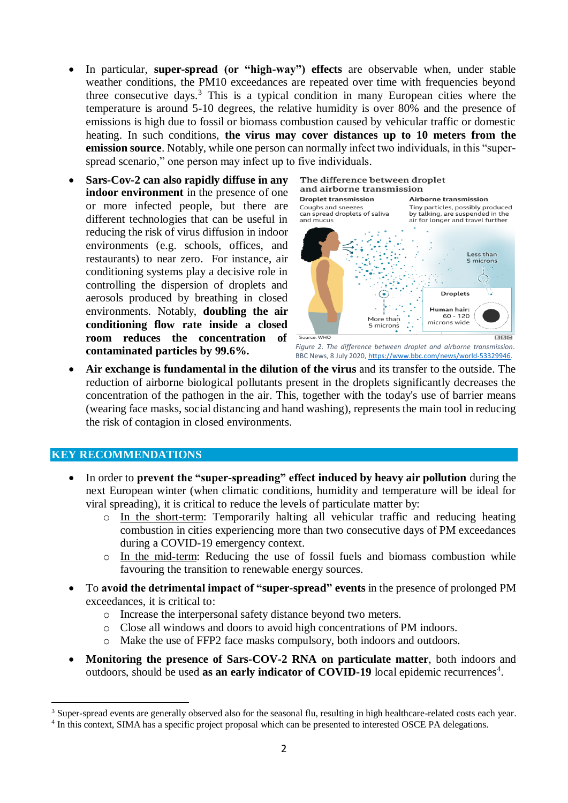- In particular, **super-spread (or "high-way") effects** are observable when, under stable weather conditions, the PM10 exceedances are repeated over time with frequencies beyond three consecutive days. <sup>3</sup> This is a typical condition in many European cities where the temperature is around 5-10 degrees, the relative humidity is over 80% and the presence of emissions is high due to fossil or biomass combustion caused by vehicular traffic or domestic heating. In such conditions, **the virus may cover distances up to 10 meters from the emission source**. Notably, while one person can normally infect two individuals, in this "superspread scenario," one person may infect up to five individuals.
- **Sars-Cov-2 can also rapidly diffuse in any indoor environment** in the presence of one or more infected people, but there are different technologies that can be useful in reducing the risk of virus diffusion in indoor environments (e.g. schools, offices, and restaurants) to near zero. For instance, air conditioning systems play a decisive role in controlling the dispersion of droplets and aerosols produced by breathing in closed environments. Notably, **doubling the air conditioning flow rate inside a closed room reduces the concentration of contaminated particles by 99.6%.**





 **Air exchange is fundamental in the dilution of the virus** and its transfer to the outside. The reduction of airborne biological pollutants present in the droplets significantly decreases the concentration of the pathogen in the air. This, together with the today's use of barrier means (wearing face masks, social distancing and hand washing), represents the main tool in reducing the risk of contagion in closed environments.

## **KEY RECOMMENDATIONS**

 $\overline{a}$ 

- In order to **prevent the "super-spreading" effect induced by heavy air pollution** during the next European winter (when climatic conditions, humidity and temperature will be ideal for viral spreading), it is critical to reduce the levels of particulate matter by:
	- o In the short-term: Temporarily halting all vehicular traffic and reducing heating combustion in cities experiencing more than two consecutive days of PM exceedances during a COVID-19 emergency context.
	- o In the mid-term: Reducing the use of fossil fuels and biomass combustion while favouring the transition to renewable energy sources.
- To **avoid the detrimental impact of "super-spread" events** in the presence of prolonged PM exceedances, it is critical to:
	- o Increase the interpersonal safety distance beyond two meters.
	- o Close all windows and doors to avoid high concentrations of PM indoors.
	- o Make the use of FFP2 face masks compulsory, both indoors and outdoors.
- **Monitoring the presence of Sars-COV-2 RNA on particulate matter**, both indoors and outdoors, should be used as an early indicator of COVID-19 local epidemic recurrences<sup>4</sup>.

<sup>&</sup>lt;sup>3</sup> Super-spread events are generally observed also for the seasonal flu, resulting in high healthcare-related costs each year.

<sup>&</sup>lt;sup>4</sup> In this context, SIMA has a specific project proposal which can be presented to interested OSCE PA delegations.